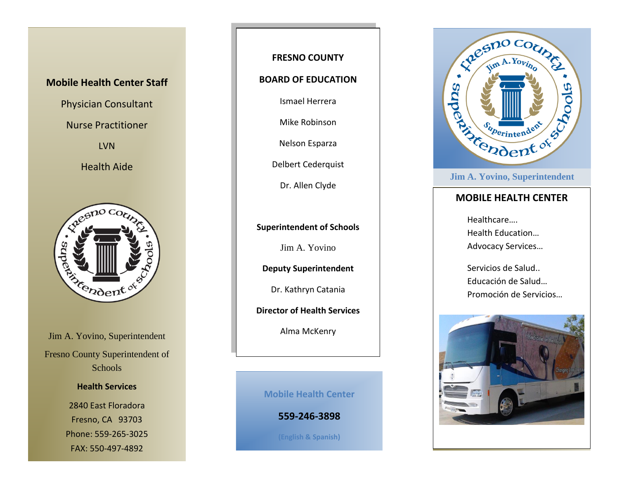### **Mobile Health Center Staff**

Physician Consultant

Nurse Practitioner

LVN

Health Aide



Jim A. Yovino, Superintendent Fresno County Superintendent of Schools

#### **Health Services**

2840 East Floradora Fresno, CA 93703 Phone: 559-265-3025 FAX: 550-497-4892

### **FRESNO COUNTY**

#### **BOARD OF EDUCATION**

Ismael Herrera

Mike Robinson

Nelson Esparza

Delbert Cederquist

Dr. Allen Clyde

**Superintendent of Schools**

Jim A. Yovino

**Deputy Superintendent**

Dr. Kathryn Catania

**Director of Health Services**

Alma McKenry

**Mobile Health Center**

**559-246-3898**

**(English & Spanish)**



#### **Jim A. Yovino, Superintendent**

### **MOBILE HEALTH CENTER**

Healthcare…. Health Education… Advocacy Services…

Servicios de Salud.. Educación de Salud… Promoción de Servicios…